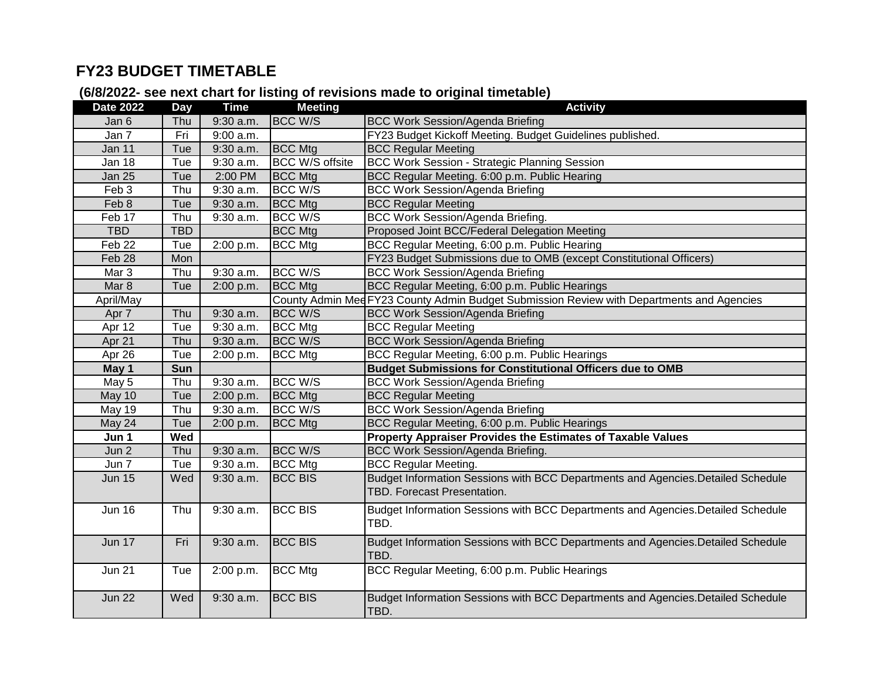## **FY23 BUDGET TIMETABLE**

## **(6/8/2022- see next chart for listing of revisions made to original timetable)**

| <b>Date 2022</b> | Day        | <b>Time</b> | <b>Meeting</b>         | ັ<br><b>Activity</b>                                                                      |  |
|------------------|------------|-------------|------------------------|-------------------------------------------------------------------------------------------|--|
| Jan 6            | Thu        | 9:30 a.m.   | <b>BCC W/S</b>         | <b>BCC Work Session/Agenda Briefing</b>                                                   |  |
| Jan 7            | Fri        | 9:00 a.m.   |                        | FY23 Budget Kickoff Meeting. Budget Guidelines published.                                 |  |
| Jan 11           | Tue        | 9:30 a.m.   | <b>BCC Mtg</b>         | <b>BCC Regular Meeting</b>                                                                |  |
| Jan 18           | Tue        | 9:30 a.m.   | <b>BCC W/S offsite</b> | <b>BCC Work Session - Strategic Planning Session</b>                                      |  |
| <b>Jan 25</b>    | Tue        | 2:00 PM     | <b>BCC</b> Mtg         | BCC Regular Meeting. 6:00 p.m. Public Hearing                                             |  |
| Feb 3            | Thu        | 9:30 a.m.   | <b>BCC W/S</b>         | <b>BCC Work Session/Agenda Briefing</b>                                                   |  |
| Feb 8            | Tue        | 9:30 a.m.   | <b>BCC Mtg</b>         | <b>BCC Regular Meeting</b>                                                                |  |
| Feb 17           | Thu        | 9:30 a.m.   | <b>BCC W/S</b>         | <b>BCC Work Session/Agenda Briefing.</b>                                                  |  |
| <b>TBD</b>       | <b>TBD</b> |             | <b>BCC Mtg</b>         | Proposed Joint BCC/Federal Delegation Meeting                                             |  |
| Feb 22           | Tue        | 2:00 p.m.   | <b>BCC</b> Mtg         | BCC Regular Meeting, 6:00 p.m. Public Hearing                                             |  |
| Feb 28           | Mon        |             |                        | FY23 Budget Submissions due to OMB (except Constitutional Officers)                       |  |
| Mar 3            | Thu        | 9:30 a.m.   | <b>BCC W/S</b>         | <b>BCC Work Session/Agenda Briefing</b>                                                   |  |
| Mar 8            | Tue        | 2:00 p.m.   | <b>BCC Mtg</b>         | BCC Regular Meeting, 6:00 p.m. Public Hearings                                            |  |
| April/May        |            |             |                        | County Admin Med FY23 County Admin Budget Submission Review with Departments and Agencies |  |
| Apr 7            | Thu        | $9:30$ a.m. | <b>BCC W/S</b>         | <b>BCC Work Session/Agenda Briefing</b>                                                   |  |
| Apr 12           | Tue        | 9:30 a.m.   | <b>BCC</b> Mtg         | <b>BCC Regular Meeting</b>                                                                |  |
| Apr 21           | Thu        | $9:30$ a.m. | <b>BCC W/S</b>         | <b>BCC Work Session/Agenda Briefing</b>                                                   |  |
| Apr 26           | Tue        | 2:00 p.m.   | <b>BCC Mtg</b>         | BCC Regular Meeting, 6:00 p.m. Public Hearings                                            |  |
| May 1            | Sun        |             |                        | <b>Budget Submissions for Constitutional Officers due to OMB</b>                          |  |
| May 5            | Thu        | $9:30$ a.m. | <b>BCC W/S</b>         | <b>BCC Work Session/Agenda Briefing</b>                                                   |  |
| May 10           | Tue        | 2:00 p.m.   | <b>BCC Mtg</b>         | <b>BCC Regular Meeting</b>                                                                |  |
| May 19           | Thu        | $9:30$ a.m. | <b>BCC W/S</b>         | <b>BCC Work Session/Agenda Briefing</b>                                                   |  |
| May 24           | Tue        | 2:00 p.m.   | <b>BCC Mtg</b>         | BCC Regular Meeting, 6:00 p.m. Public Hearings                                            |  |
| Jun 1            | Wed        |             |                        | Property Appraiser Provides the Estimates of Taxable Values                               |  |
| Jun 2            | Thu        | 9:30 a.m.   | <b>BCC W/S</b>         | <b>BCC Work Session/Agenda Briefing.</b>                                                  |  |
| Jun 7            | Tue        | 9:30 a.m.   | <b>BCC Mtg</b>         | <b>BCC Regular Meeting.</b>                                                               |  |
| <b>Jun 15</b>    | Wed        | $9:30$ a.m. | <b>BCC BIS</b>         | Budget Information Sessions with BCC Departments and Agencies. Detailed Schedule          |  |
|                  |            |             |                        | TBD. Forecast Presentation.                                                               |  |
| <b>Jun 16</b>    | Thu        | 9:30 a.m.   | <b>BCC BIS</b>         | Budget Information Sessions with BCC Departments and Agencies.Detailed Schedule           |  |
|                  |            |             |                        | TBD.                                                                                      |  |
|                  |            |             |                        |                                                                                           |  |
| <b>Jun 17</b>    | Fri        | $9:30$ a.m. | <b>BCC BIS</b>         | Budget Information Sessions with BCC Departments and Agencies.Detailed Schedule<br>TBD.   |  |
|                  |            |             |                        |                                                                                           |  |
| <b>Jun 21</b>    | Tue        | 2:00 p.m.   | <b>BCC Mtg</b>         | BCC Regular Meeting, 6:00 p.m. Public Hearings                                            |  |
|                  |            |             |                        |                                                                                           |  |
| <b>Jun 22</b>    | Wed        | 9:30 a.m.   | <b>BCC BIS</b>         | Budget Information Sessions with BCC Departments and Agencies.Detailed Schedule           |  |
|                  |            |             |                        | TBD.                                                                                      |  |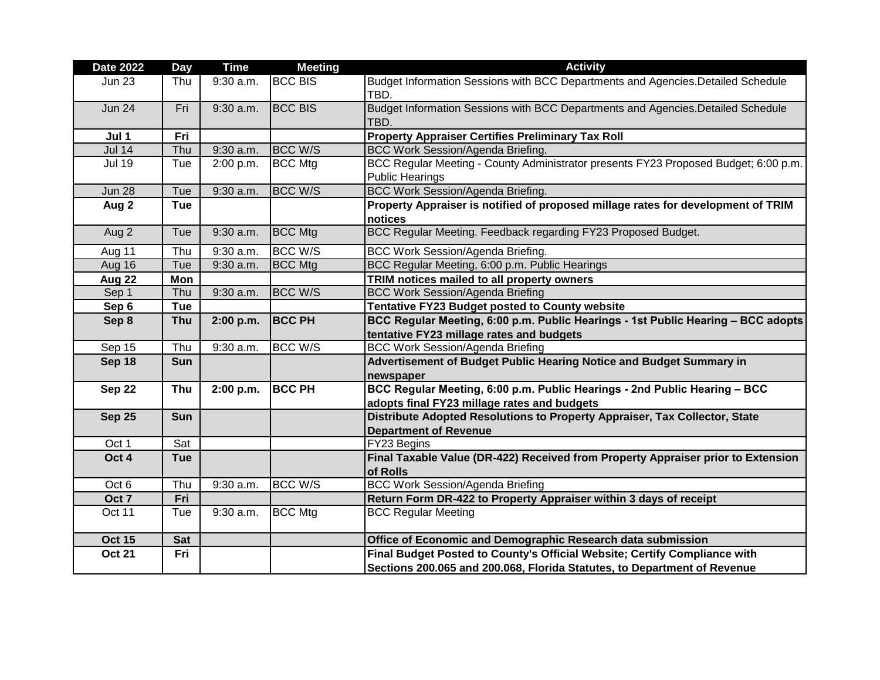| <b>Date 2022</b> | Day        | <b>Time</b> | <b>Meeting</b> | <b>Activity</b>                                                                                                                                       |  |
|------------------|------------|-------------|----------------|-------------------------------------------------------------------------------------------------------------------------------------------------------|--|
| <b>Jun 23</b>    | Thu        | $9:30$ a.m. | <b>BCC BIS</b> | Budget Information Sessions with BCC Departments and Agencies. Detailed Schedule<br>TBD.                                                              |  |
| <b>Jun 24</b>    | Fri        | $9:30$ a.m. | <b>BCC BIS</b> | Budget Information Sessions with BCC Departments and Agencies. Detailed Schedule<br>TBD.                                                              |  |
| Jul 1            | Fri        |             |                | <b>Property Appraiser Certifies Preliminary Tax Roll</b>                                                                                              |  |
| <b>Jul 14</b>    | Thu        | $9:30$ a.m. | BCC W/S        | <b>BCC Work Session/Agenda Briefing.</b>                                                                                                              |  |
| <b>Jul 19</b>    | Tue        | 2:00 p.m.   | <b>BCC Mtg</b> | BCC Regular Meeting - County Administrator presents FY23 Proposed Budget; 6:00 p.m.<br><b>Public Hearings</b>                                         |  |
| <b>Jun 28</b>    | Tue        | 9:30 a.m.   | <b>BCC W/S</b> | <b>BCC Work Session/Agenda Briefing.</b>                                                                                                              |  |
| Aug 2            | <b>Tue</b> |             |                | Property Appraiser is notified of proposed millage rates for development of TRIM<br>notices                                                           |  |
| Aug 2            | Tue        | $9:30$ a.m. | <b>BCC</b> Mtg | BCC Regular Meeting. Feedback regarding FY23 Proposed Budget.                                                                                         |  |
| Aug 11           | Thu        | 9:30 a.m.   | <b>BCC W/S</b> | BCC Work Session/Agenda Briefing.                                                                                                                     |  |
| Aug 16           | Tue        | 9:30 a.m.   | <b>BCC Mtg</b> | BCC Regular Meeting, 6:00 p.m. Public Hearings                                                                                                        |  |
| Aug 22           | Mon        |             |                | TRIM notices mailed to all property owners                                                                                                            |  |
| Sep 1            | Thu        | 9:30 a.m.   | <b>BCC W/S</b> | <b>BCC Work Session/Agenda Briefing</b>                                                                                                               |  |
| Sep 6            | Tue        |             |                | Tentative FY23 Budget posted to County website                                                                                                        |  |
| Sep 8            | <b>Thu</b> | 2:00 p.m.   | <b>BCC PH</b>  | BCC Regular Meeting, 6:00 p.m. Public Hearings - 1st Public Hearing - BCC adopts<br>tentative FY23 millage rates and budgets                          |  |
| Sep 15           | Thu        | 9:30 a.m.   | <b>BCC W/S</b> | <b>BCC Work Session/Agenda Briefing</b>                                                                                                               |  |
| Sep 18           | Sun        |             |                | Advertisement of Budget Public Hearing Notice and Budget Summary in<br>newspaper                                                                      |  |
| Sep 22           | Thu        | 2:00 p.m.   | <b>BCC PH</b>  | BCC Regular Meeting, 6:00 p.m. Public Hearings - 2nd Public Hearing - BCC<br>adopts final FY23 millage rates and budgets                              |  |
| <b>Sep 25</b>    | <b>Sun</b> |             |                | Distribute Adopted Resolutions to Property Appraiser, Tax Collector, State<br><b>Department of Revenue</b>                                            |  |
| Oct 1            | Sat        |             |                | FY23 Begins                                                                                                                                           |  |
| Oct 4            | <b>Tue</b> |             |                | Final Taxable Value (DR-422) Received from Property Appraiser prior to Extension<br>of Rolls                                                          |  |
| Oct 6            | Thu        | 9:30 a.m.   | BCC W/S        | <b>BCC Work Session/Agenda Briefing</b>                                                                                                               |  |
| Oct 7            | Fri        |             |                | Return Form DR-422 to Property Appraiser within 3 days of receipt                                                                                     |  |
| Oct 11           | Tue        | $9:30$ a.m. | <b>BCC Mtg</b> | <b>BCC Regular Meeting</b>                                                                                                                            |  |
| <b>Oct 15</b>    | <b>Sat</b> |             |                | Office of Economic and Demographic Research data submission                                                                                           |  |
| <b>Oct 21</b>    | Fri        |             |                | Final Budget Posted to County's Official Website; Certify Compliance with<br>Sections 200.065 and 200.068, Florida Statutes, to Department of Revenue |  |